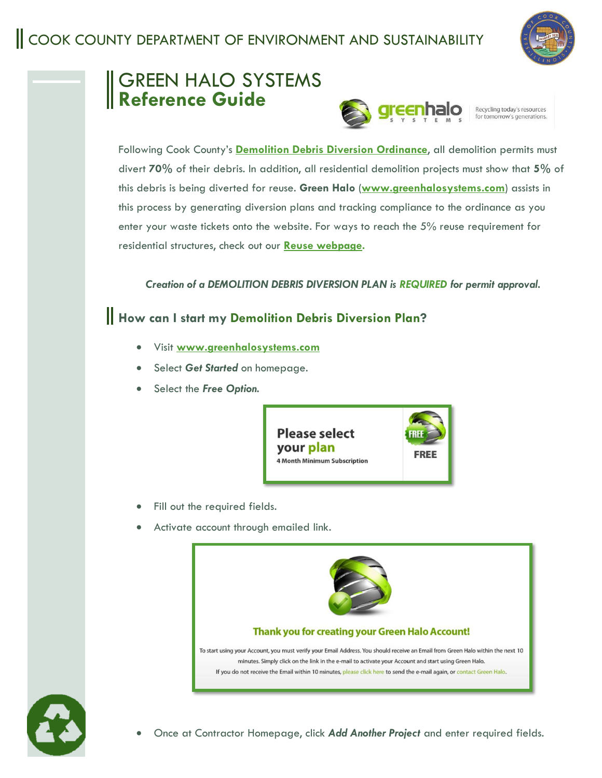

# GREEN HALO SYSTEMS **Reference Guide**



Following Cook County's **[Demolition Debris Diversion Ordinance](https://library.municode.com/il/cook_county/codes/code_of_ordinances?nodeId=PTIGEOR_CH30EN_ARTVASRESU_DIV3DEDEDI_S30-773DEDEDIRE)**, all demolition permits must divert **70%** of their debris. In addition, all residential demolition projects must show that **5%** of this debris is being diverted for reuse. **Green Halo** (**[www.greenhalosystems.com](http://www.greenhalosystems.com/)**) assists in this process by generating diversion plans and tracking compliance to the ordinance as you enter your waste tickets onto the website. For ways to reach the 5% reuse requirement for residential structures, check out our **[Reuse webpage.](https://www.cookcountyil.gov/content/reuse#:~:text=Under%20Cook%20County)**

*Creation of a DEMOLITION DEBRIS DIVERSION PLAN is REQUIRED for permit approval.*

# **How can I start my Demolition Debris Diversion Plan?**

- Visit **[www.greenhalosystems.com](http://www.greenhalosystems.com/)**
- Select *Get Started* on homepage.
- Select the *Free Option.*



- Fill out the required fields.
- Activate account through emailed link.





• Once at Contractor Homepage, click *Add Another Project* and enter required fields.